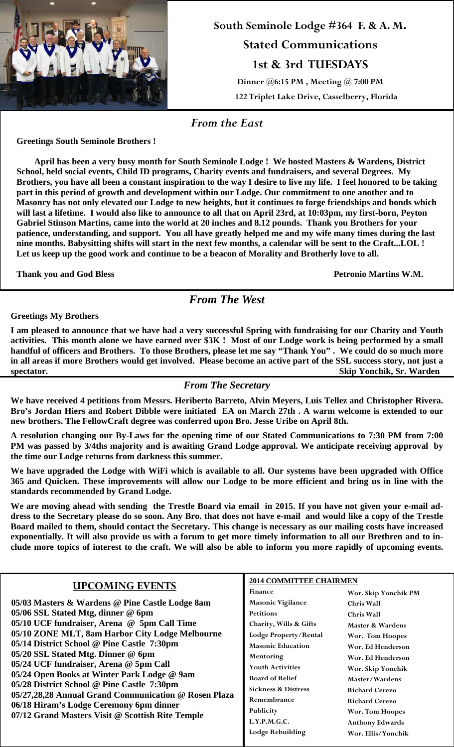

# **South Seminole Lodge #364 F. & A. M. Stated Communications 1st & 3rd TUESDAYS Dinner @6:15 PM , Meeting @ 7:00 PM 122 Triplet Lake Drive, Casselberry, Florida**

*From the East* 

**Greetings South Seminole Brothers !** 

 **April has been a very busy month for South Seminole Lodge ! We hosted Masters & Wardens, District School, held social events, Child ID programs, Charity events and fundraisers, and several Degrees. My Brothers, you have all been a constant inspiration to the way I desire to live my life. I feel honored to be taking part in this period of growth and development within our Lodge. Our commitment to one another and to Masonry has not only elevated our Lodge to new heights, but it continues to forge friendships and bonds which will last a lifetime. I would also like to announce to all that on April 23rd, at 10:03pm, my first-born, Peyton Gabriel Stinson Martins, came into the world at 20 inches and 8.12 pounds. Thank you Brothers for your patience, understanding, and support. You all have greatly helped me and my wife many times during the last nine months. Babysitting shifts will start in the next few months, a calendar will be sent to the Craft...LOL ! Let us keep up the good work and continue to be a beacon of Morality and Brotherly love to all.** 

**Thank you and God Bless Petronio Martins W.M.**

*From The West* 

**Greetings My Brothers** 

**I am pleased to announce that we have had a very successful Spring with fundraising for our Charity and Youth activities. This month alone we have earned over \$3K ! Most of our Lodge work is being performed by a small handful of officers and Brothers. To those Brothers, please let me say "Thank You" . We could do so much more in all areas if more Brothers would get involved. Please become an active part of the SSL success story, not just a spectator. Skip Yonchik, Sr. Warden**

#### *From The Secretary*

**We have received 4 petitions from Messrs. Heriberto Barreto, Alvin Meyers, Luis Tellez and Christopher Rivera. Bro's Jordan Hiers and Robert Dibble were initiated EA on March 27th . A warm welcome is extended to our new brothers. The FellowCraft degree was conferred upon Bro. Jesse Uribe on April 8th.** 

**A resolution changing our By-Laws for the opening time of our Stated Communications to 7:30 PM from 7:00 PM was passed by 3/4ths majority and is awaiting Grand Lodge approval. We anticipate receiving approval by the time our Lodge returns from darkness this summer.** 

**We have upgraded the Lodge with WiFi which is available to all. Our systems have been upgraded with Office 365 and Quicken. These improvements will allow our Lodge to be more efficient and bring us in line with the standards recommended by Grand Lodge.** 

**We are moving ahead with sending the Trestle Board via email in 2015. If you have not given your e-mail address to the Secretary please do so soon. Any Bro. that does not have e-mail and would like a copy of the Trestle Board mailed to them, should contact the Secretary. This change is necessary as our mailing costs have increased exponentially. It will also provide us with a forum to get more timely information to all our Brethren and to include more topics of interest to the craft. We will also be able to inform you more rapidly of upcoming events.** 

| <b>UPCOMING EVENTS</b>                                                                                                                                                                                                                                                                                                                                                                                                            | <b>2014 COMMITTEE CHAIRMEN</b> |                        |
|-----------------------------------------------------------------------------------------------------------------------------------------------------------------------------------------------------------------------------------------------------------------------------------------------------------------------------------------------------------------------------------------------------------------------------------|--------------------------------|------------------------|
|                                                                                                                                                                                                                                                                                                                                                                                                                                   | Finance                        | Wor. Skip Yonchik PM   |
| 05/03 Masters & Wardens @ Pine Castle Lodge 8am                                                                                                                                                                                                                                                                                                                                                                                   | <b>Masonic Vigilance</b>       | <b>Chris Wall</b>      |
| 05/06 SSL Stated Mtg, dinner @ 6pm                                                                                                                                                                                                                                                                                                                                                                                                | <b>Petitions</b>               | <b>Chris Wall</b>      |
| 05/10 UCF fundraiser, Arena @ 5pm Call Time                                                                                                                                                                                                                                                                                                                                                                                       | Charity, Wills & Gifts         | Master & Wardens       |
| 05/10 ZONE MLT, 8am Harbor City Lodge Melbourne<br>05/14 District School @ Pine Castle 7:30pm<br>05/20 SSL Stated Mtg. Dinner @ 6pm<br>05/24 UCF fundraiser, Arena @ 5pm Call<br>05/24 Open Books at Winter Park Lodge @ 9am<br>05/28 District School @ Pine Castle 7:30pm<br>05/27,28,28 Annual Grand Communication @ Rosen Plaza<br>06/18 Hiram's Lodge Ceremony 6pm dinner<br>07/12 Grand Masters Visit @ Scottish Rite Temple | Lodge Property/Rental          | Wor. Tom Hoopes        |
|                                                                                                                                                                                                                                                                                                                                                                                                                                   | <b>Masonic Education</b>       | Wor. Ed Henderson      |
|                                                                                                                                                                                                                                                                                                                                                                                                                                   | Mentoring                      | Wor. Ed Henderson      |
|                                                                                                                                                                                                                                                                                                                                                                                                                                   | <b>Youth Activities</b>        | Wor. Skip Yonchik      |
|                                                                                                                                                                                                                                                                                                                                                                                                                                   | <b>Board of Relief</b>         | Master/Wardens         |
|                                                                                                                                                                                                                                                                                                                                                                                                                                   | <b>Sickness &amp; Distress</b> | <b>Richard Cerezo</b>  |
|                                                                                                                                                                                                                                                                                                                                                                                                                                   | Remembrance                    | <b>Richard Cerezo</b>  |
|                                                                                                                                                                                                                                                                                                                                                                                                                                   | Publicity                      | Wor. Tom Hoopes        |
|                                                                                                                                                                                                                                                                                                                                                                                                                                   | L.Y.P.M.G.C.                   | <b>Anthony Edwards</b> |
|                                                                                                                                                                                                                                                                                                                                                                                                                                   | <b>Lodge Rebuilding</b>        | Wor. Ellis/Yonchik     |